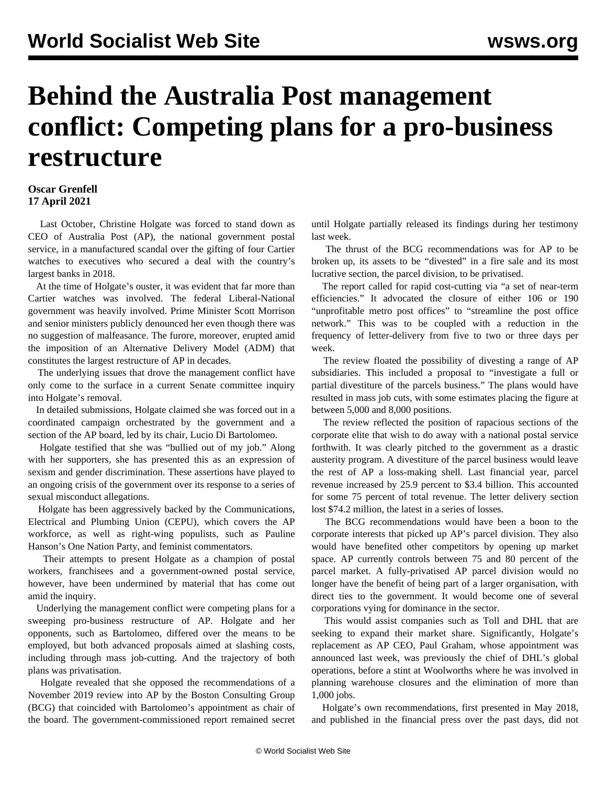## **Behind the Australia Post management conflict: Competing plans for a pro-business restructure**

## **Oscar Grenfell 17 April 2021**

 Last October, Christine Holgate was forced to stand down as CEO of Australia Post (AP), the national government postal service, in a manufactured scandal over the gifting of four Cartier watches to executives who secured a deal with the country's largest banks in 2018.

 At the time of Holgate's ouster, it was evident that far more than Cartier watches was involved. The federal Liberal-National government was heavily involved. Prime Minister Scott Morrison and senior ministers publicly denounced her even though there was no suggestion of malfeasance. The furore, moreover, erupted amid the imposition of an Alternative Delivery Model (ADM) that constitutes the largest restructure of AP in decades.

 The underlying issues that drove the management conflict have only come to the surface in a current Senate committee inquiry into Holgate's removal.

 In detailed submissions, Holgate claimed she was forced out in a coordinated campaign orchestrated by the government and a section of the AP board, led by its chair, Lucio Di Bartolomeo.

 Holgate testified that she was "bullied out of my job." Along with her supporters, she has presented this as an expression of sexism and gender discrimination. These assertions have played to an ongoing crisis of the government over its response to a series of sexual misconduct allegations.

 Holgate has been aggressively backed by the Communications, Electrical and Plumbing Union (CEPU), which covers the AP workforce, as well as right-wing populists, such as Pauline Hanson's One Nation Party, and feminist commentators.

 Their attempts to present Holgate as a champion of postal workers, franchisees and a government-owned postal service, however, have been undermined by material that has come out amid the inquiry.

 Underlying the management conflict were competing plans for a sweeping pro-business restructure of AP. Holgate and her opponents, such as Bartolomeo, differed over the means to be employed, but both advanced proposals aimed at slashing costs, including through mass job-cutting. And the trajectory of both plans was privatisation.

 Holgate revealed that she opposed the recommendations of a November 2019 review into AP by the Boston Consulting Group (BCG) that coincided with Bartolomeo's appointment as chair of the board. The government-commissioned report remained secret

until Holgate partially released its findings during her testimony last week.

 The thrust of the BCG recommendations was for AP to be broken up, its assets to be "divested" in a fire sale and its most lucrative section, the parcel division, to be privatised.

 The report called for rapid cost-cutting via "a set of near-term efficiencies." It advocated the closure of either 106 or 190 "unprofitable metro post offices" to "streamline the post office network." This was to be coupled with a reduction in the frequency of letter-delivery from five to two or three days per week.

 The review floated the possibility of divesting a range of AP subsidiaries. This included a proposal to "investigate a full or partial divestiture of the parcels business." The plans would have resulted in mass job cuts, with some estimates placing the figure at between 5,000 and 8,000 positions.

 The review reflected the position of rapacious sections of the corporate elite that wish to do away with a national postal service forthwith. It was clearly pitched to the government as a drastic austerity program. A divestiture of the parcel business would leave the rest of AP a loss-making shell. Last financial year, parcel revenue increased by 25.9 percent to \$3.4 billion. This accounted for some 75 percent of total revenue. The letter delivery section lost \$74.2 million, the latest in a series of losses.

 The BCG recommendations would have been a boon to the corporate interests that picked up AP's parcel division. They also would have benefited other competitors by opening up market space. AP currently controls between 75 and 80 percent of the parcel market. A fully-privatised AP parcel division would no longer have the benefit of being part of a larger organisation, with direct ties to the government. It would become one of several corporations vying for dominance in the sector.

 This would assist companies such as Toll and DHL that are seeking to expand their market share. Significantly, Holgate's replacement as AP CEO, Paul Graham, whose appointment was announced last week, was previously the chief of DHL's global operations, before a stint at Woolworths where he was involved in planning warehouse closures and the elimination of more than 1,000 jobs.

 Holgate's own recommendations, first presented in May 2018, and published in the financial press over the past days, did not